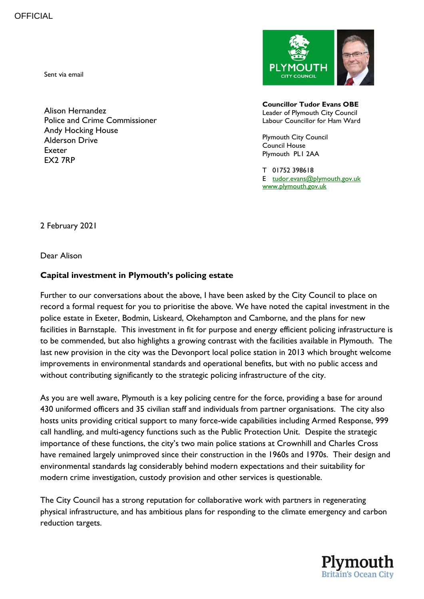Sent via email

Alison Hernandez Police and Crime Commissioner Andy Hocking House Alderson Drive Exeter EX2 7RP



**Councillor Tudor Evans OBE** Leader of Plymouth City Council Labour Councillor for Ham Ward

Plymouth City Council Council House Plymouth PL1 2AA

T 01752 398618 E [tudor.evans@plymouth.gov.uk](mailto:tudor.evans@plymouth.gov.uk) [www.plymouth.gov.uk](http://www.plymouth.gov.uk/)

2 February 2021

Dear Alison

## **Capital investment in Plymouth's policing estate**

Further to our conversations about the above, I have been asked by the City Council to place on record a formal request for you to prioritise the above. We have noted the capital investment in the police estate in Exeter, Bodmin, Liskeard, Okehampton and Camborne, and the plans for new facilities in Barnstaple. This investment in fit for purpose and energy efficient policing infrastructure is to be commended, but also highlights a growing contrast with the facilities available in Plymouth. The last new provision in the city was the Devonport local police station in 2013 which brought welcome improvements in environmental standards and operational benefits, but with no public access and without contributing significantly to the strategic policing infrastructure of the city.

As you are well aware, Plymouth is a key policing centre for the force, providing a base for around 430 uniformed officers and 35 civilian staff and individuals from partner organisations. The city also hosts units providing critical support to many force-wide capabilities including Armed Response, 999 call handling, and multi-agency functions such as the Public Protection Unit. Despite the strategic importance of these functions, the city's two main police stations at Crownhill and Charles Cross have remained largely unimproved since their construction in the 1960s and 1970s. Their design and environmental standards lag considerably behind modern expectations and their suitability for modern crime investigation, custody provision and other services is questionable.

The City Council has a strong reputation for collaborative work with partners in regenerating physical infrastructure, and has ambitious plans for responding to the climate emergency and carbon reduction targets.